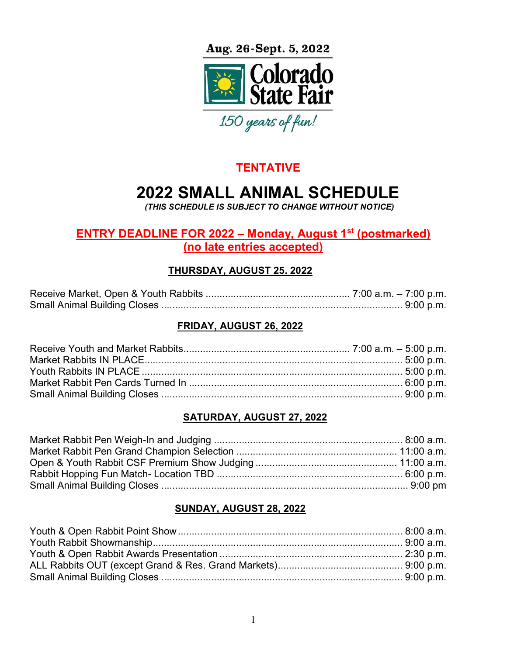Aug. 26-Sept. 5, 2022



# **TENTATIVE**

# 2022 SMALL ANIMAL SCHEDULE

(THIS SCHEDULE IS SUBJECT TO CHANGE WITHOUT NOTICE)

# ENTRY DEADLINE FOR 2022 – Monday, August  $1<sup>st</sup>$  (postmarked) (no late entries accepted)

# THURSDAY, AUGUST 25. 2022

#### FRIDAY, AUGUST 26, 2022

## SATURDAY, AUGUST 27, 2022

## SUNDAY, AUGUST 28, 2022